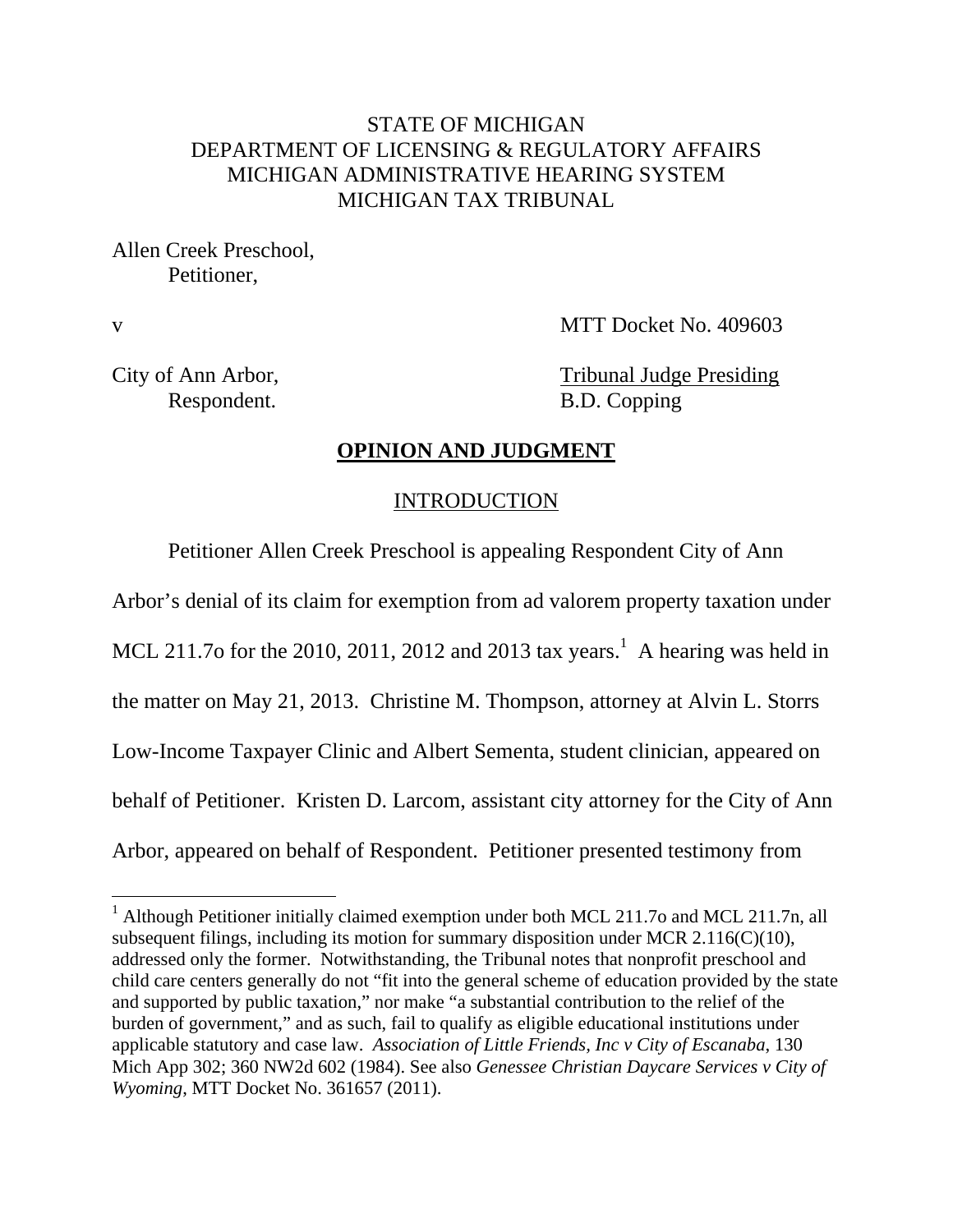## STATE OF MICHIGAN DEPARTMENT OF LICENSING & REGULATORY AFFAIRS MICHIGAN ADMINISTRATIVE HEARING SYSTEM MICHIGAN TAX TRIBUNAL

Allen Creek Preschool, Petitioner,

 $\overline{a}$ 

v MTT Docket No. 409603

City of Ann Arbor, Tribunal Judge Presiding Respondent. B.D. Copping

#### **OPINION AND JUDGMENT**

#### INTRODUCTION

Petitioner Allen Creek Preschool is appealing Respondent City of Ann Arbor's denial of its claim for exemption from ad valorem property taxation under MCL 211.7o for the 2010, 2011, 2012 and 2013 tax years.<sup>1</sup> A hearing was held in the matter on May 21, 2013. Christine M. Thompson, attorney at Alvin L. Storrs Low-Income Taxpayer Clinic and Albert Sementa, student clinician, appeared on behalf of Petitioner. Kristen D. Larcom, assistant city attorney for the City of Ann Arbor, appeared on behalf of Respondent. Petitioner presented testimony from

<sup>&</sup>lt;sup>1</sup> Although Petitioner initially claimed exemption under both MCL 211.7o and MCL 211.7n, all subsequent filings, including its motion for summary disposition under MCR 2.116(C)(10), addressed only the former. Notwithstanding, the Tribunal notes that nonprofit preschool and child care centers generally do not "fit into the general scheme of education provided by the state and supported by public taxation," nor make "a substantial contribution to the relief of the burden of government," and as such, fail to qualify as eligible educational institutions under applicable statutory and case law. *Association of Little Friends, Inc v City of Escanaba*, 130 Mich App 302; 360 NW2d 602 (1984). See also *Genessee Christian Daycare Services v City of Wyoming*, MTT Docket No. 361657 (2011).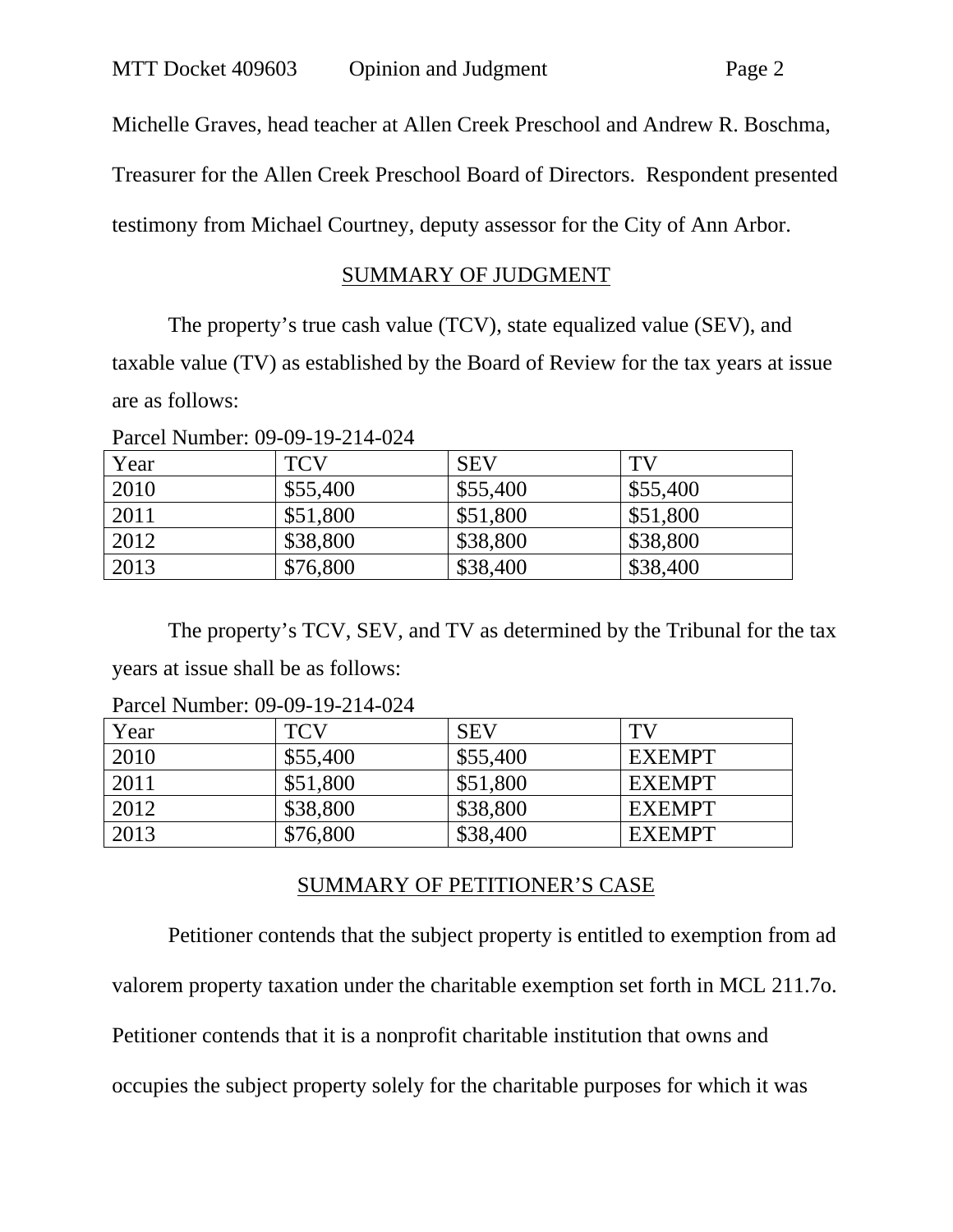Michelle Graves, head teacher at Allen Creek Preschool and Andrew R. Boschma,

Treasurer for the Allen Creek Preschool Board of Directors. Respondent presented

testimony from Michael Courtney, deputy assessor for the City of Ann Arbor.

#### SUMMARY OF JUDGMENT

The property's true cash value (TCV), state equalized value (SEV), and taxable value (TV) as established by the Board of Review for the tax years at issue are as follows:

Year | TCV | SEV | TV 2010 \$55,400 \$55,400 \$55,400 2011 | \$51,800 | \$51,800 | \$51,800 2012 | \$38,800 | \$38,800 | \$38,800 2013 \$76,800 \$38,400 \$38,400

Parcel Number: 09-09-19-214-024

The property's TCV, SEV, and TV as determined by the Tribunal for the tax years at issue shall be as follows:

| Year | <b>TCV</b> | <b>SEV</b> | TV            |
|------|------------|------------|---------------|
| 2010 | \$55,400   | \$55,400   | <b>EXEMPT</b> |
| 2011 | \$51,800   | \$51,800   | <b>EXEMPT</b> |
| 2012 | \$38,800   | \$38,800   | <b>EXEMPT</b> |
| 2013 | \$76,800   | \$38,400   | <b>EXEMPT</b> |

Parcel Number: 09-09-19-214-024

## SUMMARY OF PETITIONER'S CASE

Petitioner contends that the subject property is entitled to exemption from ad valorem property taxation under the charitable exemption set forth in MCL 211.7o. Petitioner contends that it is a nonprofit charitable institution that owns and occupies the subject property solely for the charitable purposes for which it was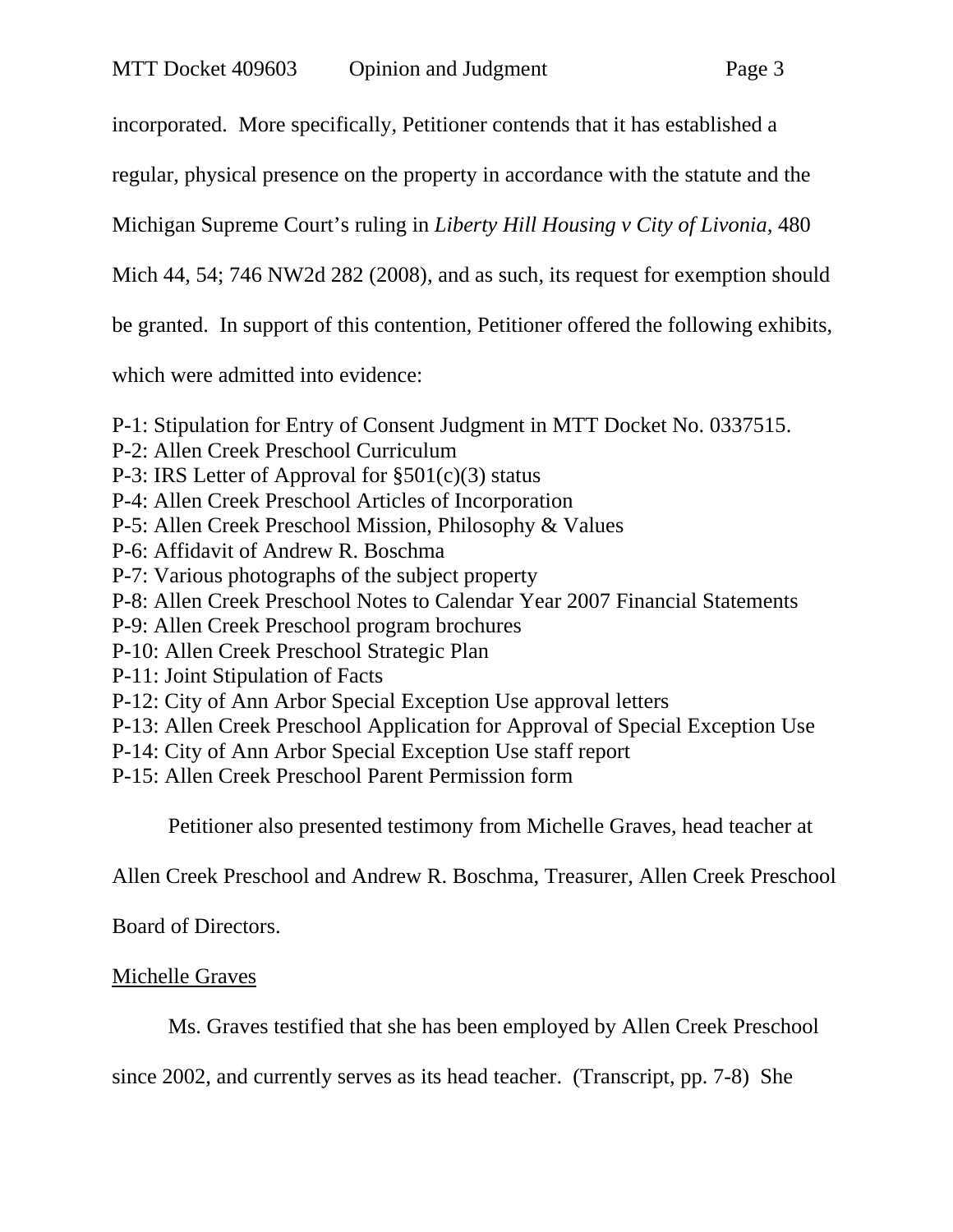incorporated. More specifically, Petitioner contends that it has established a

regular, physical presence on the property in accordance with the statute and the

Michigan Supreme Court's ruling in *Liberty Hill Housing v City of Livonia,* 480

Mich 44, 54; 746 NW2d 282 (2008), and as such, its request for exemption should

be granted. In support of this contention, Petitioner offered the following exhibits,

which were admitted into evidence:

P-1: Stipulation for Entry of Consent Judgment in MTT Docket No. 0337515.

- P-2: Allen Creek Preschool Curriculum
- P-3: IRS Letter of Approval for  $\S501(c)(3)$  status
- P-4: Allen Creek Preschool Articles of Incorporation
- P-5: Allen Creek Preschool Mission, Philosophy & Values
- P-6: Affidavit of Andrew R. Boschma
- P-7: Various photographs of the subject property
- P-8: Allen Creek Preschool Notes to Calendar Year 2007 Financial Statements
- P-9: Allen Creek Preschool program brochures
- P-10: Allen Creek Preschool Strategic Plan
- P-11: Joint Stipulation of Facts
- P-12: City of Ann Arbor Special Exception Use approval letters
- P-13: Allen Creek Preschool Application for Approval of Special Exception Use
- P-14: City of Ann Arbor Special Exception Use staff report
- P-15: Allen Creek Preschool Parent Permission form

Petitioner also presented testimony from Michelle Graves, head teacher at

Allen Creek Preschool and Andrew R. Boschma, Treasurer, Allen Creek Preschool

Board of Directors.

## Michelle Graves

Ms. Graves testified that she has been employed by Allen Creek Preschool

since 2002, and currently serves as its head teacher. (Transcript, pp. 7-8) She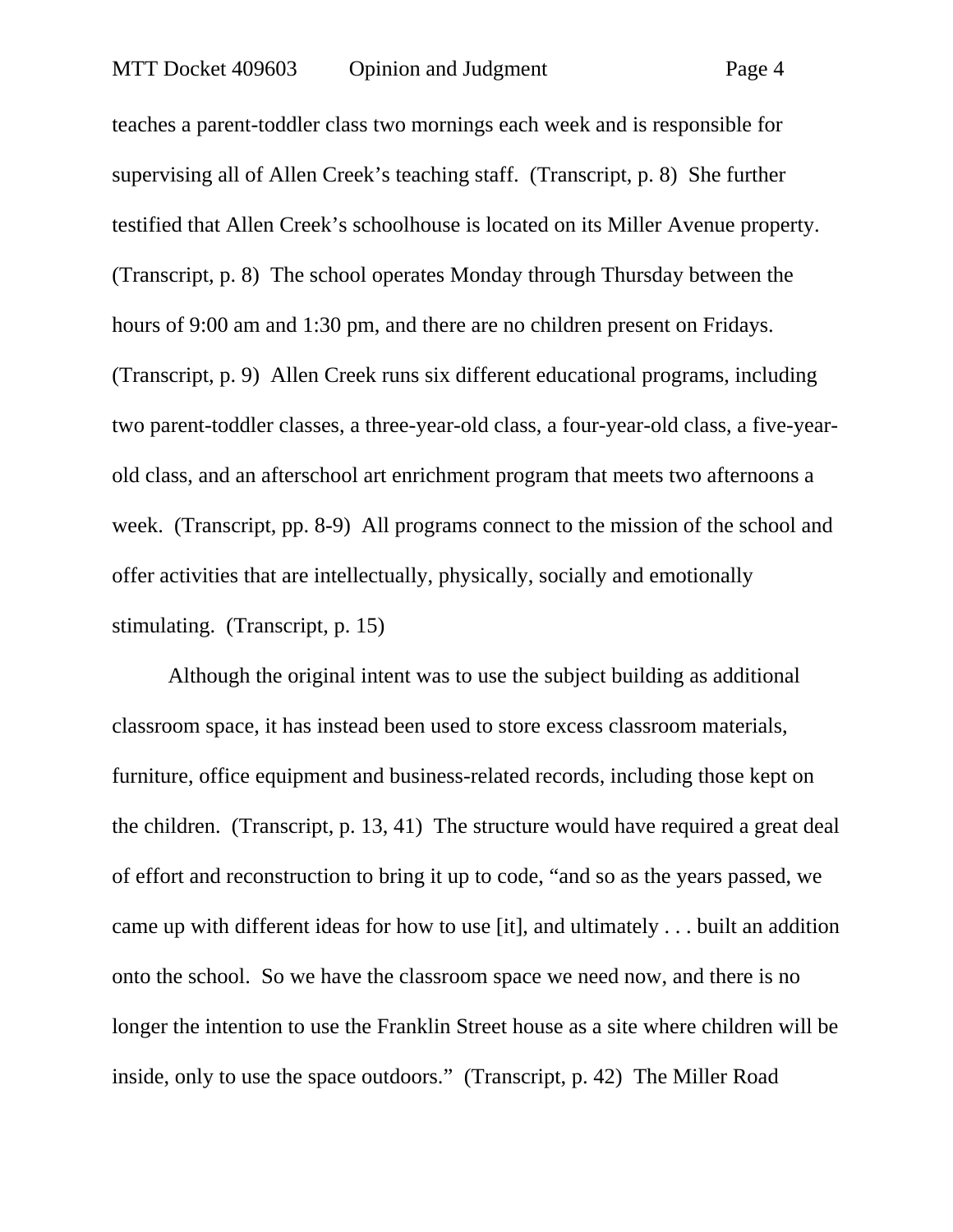teaches a parent-toddler class two mornings each week and is responsible for supervising all of Allen Creek's teaching staff. (Transcript, p. 8) She further testified that Allen Creek's schoolhouse is located on its Miller Avenue property. (Transcript, p. 8) The school operates Monday through Thursday between the hours of 9:00 am and 1:30 pm, and there are no children present on Fridays. (Transcript, p. 9) Allen Creek runs six different educational programs, including two parent-toddler classes, a three-year-old class, a four-year-old class, a five-yearold class, and an afterschool art enrichment program that meets two afternoons a week. (Transcript, pp. 8-9) All programs connect to the mission of the school and offer activities that are intellectually, physically, socially and emotionally stimulating. (Transcript, p. 15)

Although the original intent was to use the subject building as additional classroom space, it has instead been used to store excess classroom materials, furniture, office equipment and business-related records, including those kept on the children. (Transcript, p. 13, 41) The structure would have required a great deal of effort and reconstruction to bring it up to code, "and so as the years passed, we came up with different ideas for how to use [it], and ultimately . . . built an addition onto the school. So we have the classroom space we need now, and there is no longer the intention to use the Franklin Street house as a site where children will be inside, only to use the space outdoors." (Transcript, p. 42) The Miller Road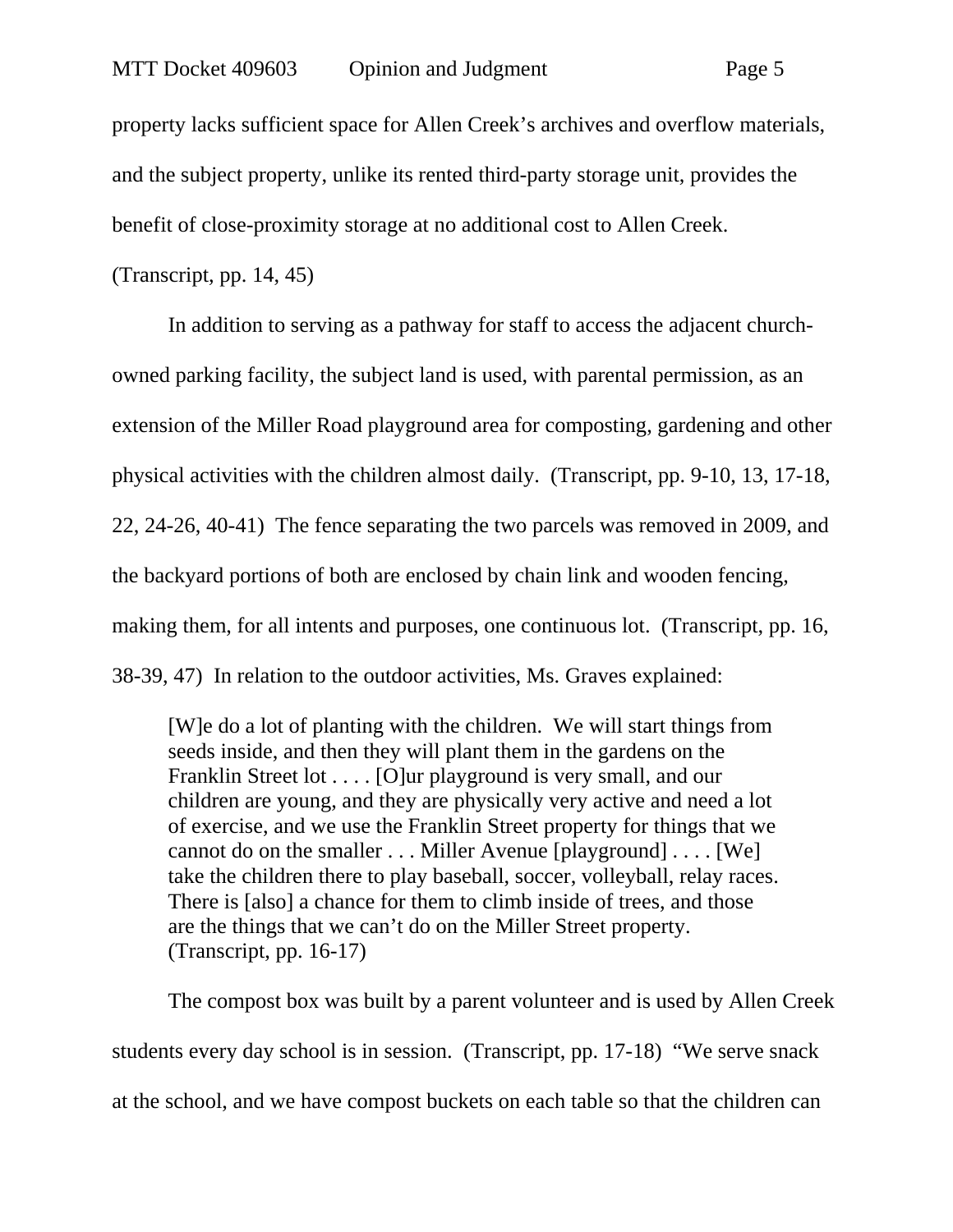property lacks sufficient space for Allen Creek's archives and overflow materials, and the subject property, unlike its rented third-party storage unit, provides the benefit of close-proximity storage at no additional cost to Allen Creek.

(Transcript, pp. 14, 45)

In addition to serving as a pathway for staff to access the adjacent churchowned parking facility, the subject land is used, with parental permission, as an extension of the Miller Road playground area for composting, gardening and other physical activities with the children almost daily. (Transcript, pp. 9-10, 13, 17-18, 22, 24-26, 40-41) The fence separating the two parcels was removed in 2009, and the backyard portions of both are enclosed by chain link and wooden fencing, making them, for all intents and purposes, one continuous lot. (Transcript, pp. 16, 38-39, 47) In relation to the outdoor activities, Ms. Graves explained:

[W]e do a lot of planting with the children. We will start things from seeds inside, and then they will plant them in the gardens on the Franklin Street lot . . . . [O]ur playground is very small, and our children are young, and they are physically very active and need a lot of exercise, and we use the Franklin Street property for things that we cannot do on the smaller . . . Miller Avenue [playground] . . . . [We] take the children there to play baseball, soccer, volleyball, relay races. There is [also] a chance for them to climb inside of trees, and those are the things that we can't do on the Miller Street property. (Transcript, pp. 16-17)

The compost box was built by a parent volunteer and is used by Allen Creek students every day school is in session. (Transcript, pp. 17-18) "We serve snack at the school, and we have compost buckets on each table so that the children can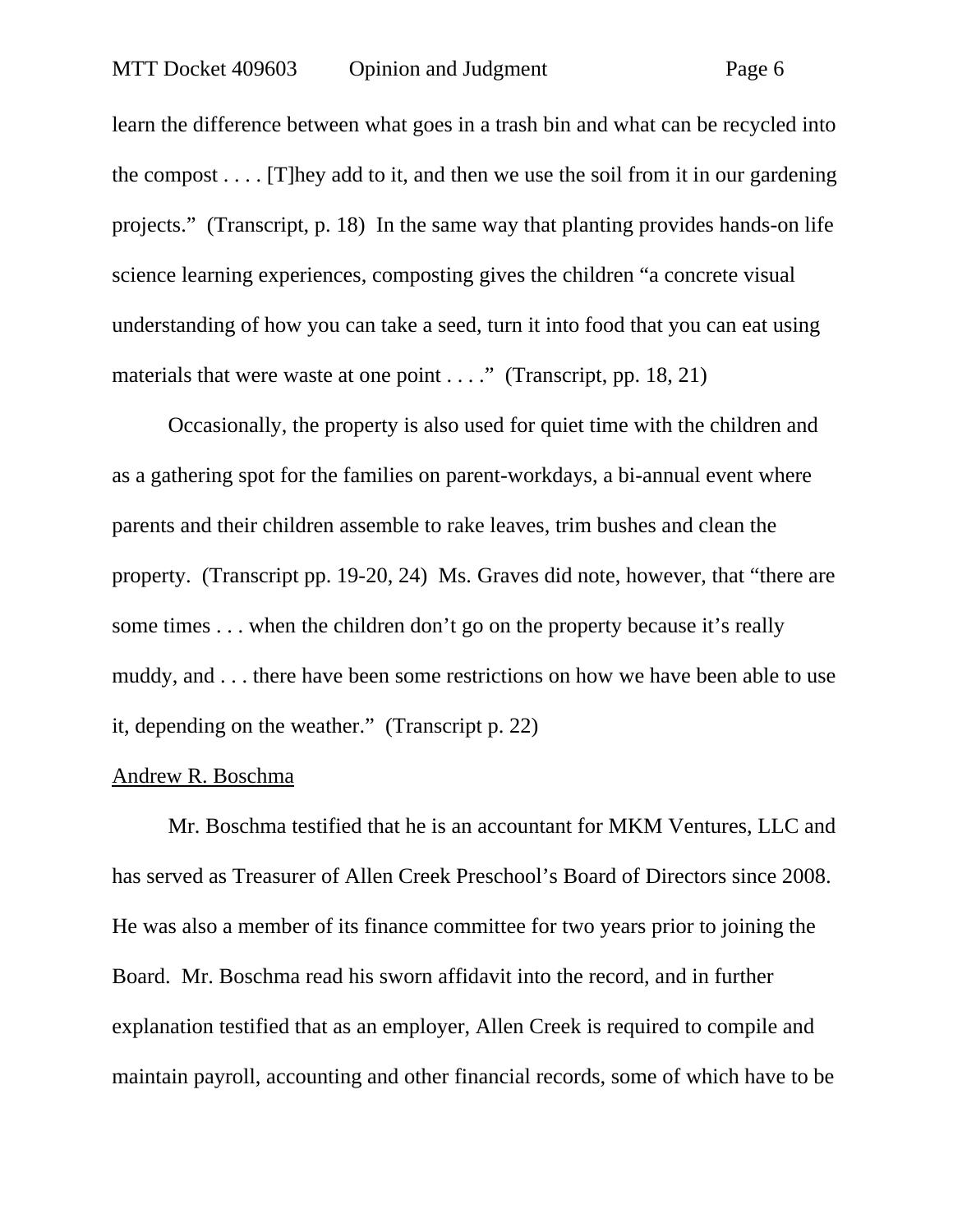learn the difference between what goes in a trash bin and what can be recycled into the compost  $\dots$  [T] hey add to it, and then we use the soil from it in our gardening projects." (Transcript, p. 18) In the same way that planting provides hands-on life science learning experiences, composting gives the children "a concrete visual understanding of how you can take a seed, turn it into food that you can eat using materials that were waste at one point . . . ." (Transcript, pp. 18, 21)

Occasionally, the property is also used for quiet time with the children and as a gathering spot for the families on parent-workdays, a bi-annual event where parents and their children assemble to rake leaves, trim bushes and clean the property. (Transcript pp. 19-20, 24) Ms. Graves did note, however, that "there are some times . . . when the children don't go on the property because it's really muddy, and . . . there have been some restrictions on how we have been able to use it, depending on the weather." (Transcript p. 22)

#### Andrew R. Boschma

Mr. Boschma testified that he is an accountant for MKM Ventures, LLC and has served as Treasurer of Allen Creek Preschool's Board of Directors since 2008. He was also a member of its finance committee for two years prior to joining the Board. Mr. Boschma read his sworn affidavit into the record, and in further explanation testified that as an employer, Allen Creek is required to compile and maintain payroll, accounting and other financial records, some of which have to be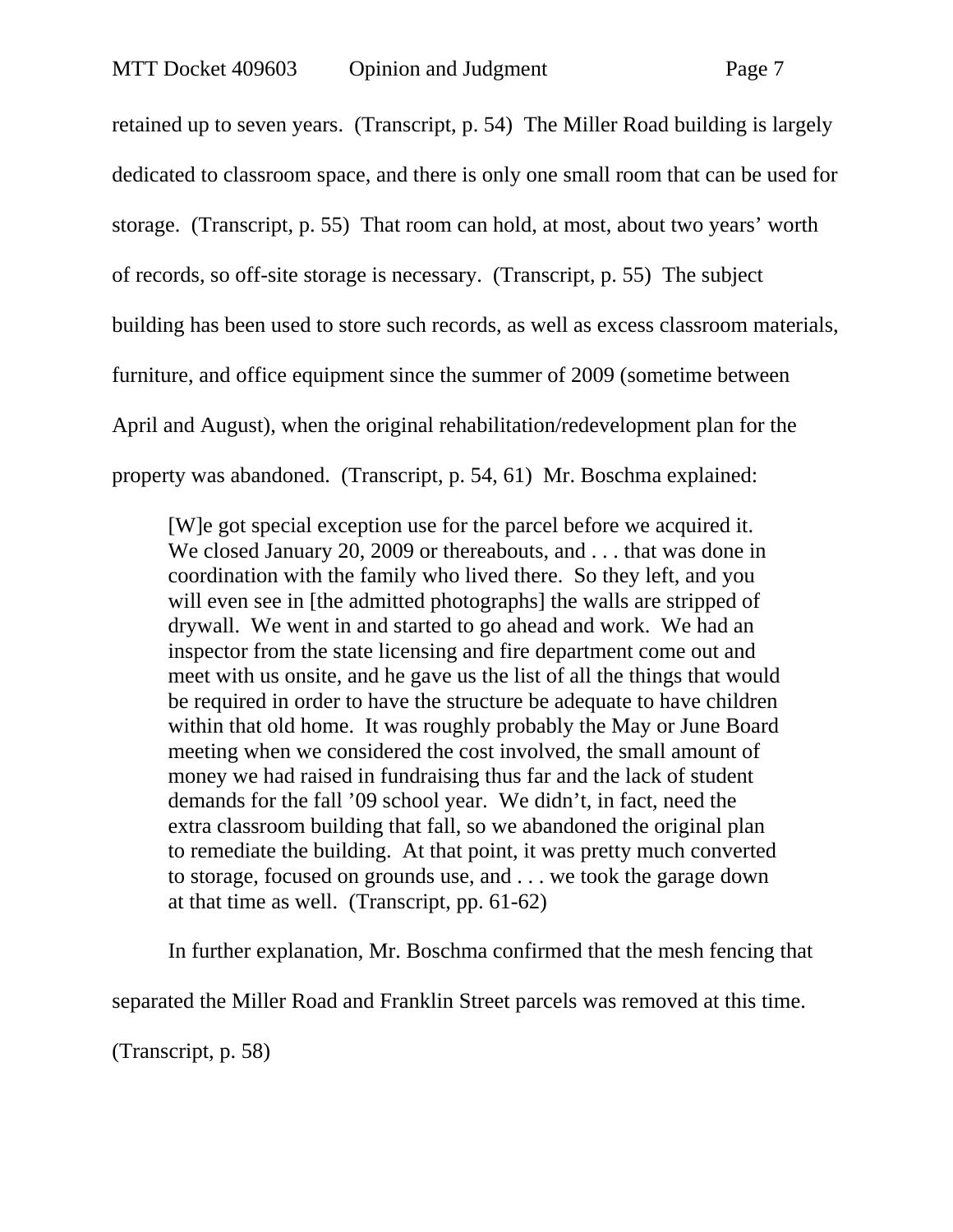retained up to seven years. (Transcript, p. 54) The Miller Road building is largely dedicated to classroom space, and there is only one small room that can be used for storage. (Transcript, p. 55) That room can hold, at most, about two years' worth of records, so off-site storage is necessary. (Transcript, p. 55) The subject building has been used to store such records, as well as excess classroom materials, furniture, and office equipment since the summer of 2009 (sometime between April and August), when the original rehabilitation/redevelopment plan for the property was abandoned. (Transcript, p. 54, 61) Mr. Boschma explained:

[W]e got special exception use for the parcel before we acquired it. We closed January 20, 2009 or thereabouts, and . . . that was done in coordination with the family who lived there. So they left, and you will even see in [the admitted photographs] the walls are stripped of drywall. We went in and started to go ahead and work. We had an inspector from the state licensing and fire department come out and meet with us onsite, and he gave us the list of all the things that would be required in order to have the structure be adequate to have children within that old home. It was roughly probably the May or June Board meeting when we considered the cost involved, the small amount of money we had raised in fundraising thus far and the lack of student demands for the fall '09 school year. We didn't, in fact, need the extra classroom building that fall, so we abandoned the original plan to remediate the building. At that point, it was pretty much converted to storage, focused on grounds use, and . . . we took the garage down at that time as well. (Transcript, pp. 61-62)

In further explanation, Mr. Boschma confirmed that the mesh fencing that

separated the Miller Road and Franklin Street parcels was removed at this time.

(Transcript, p. 58)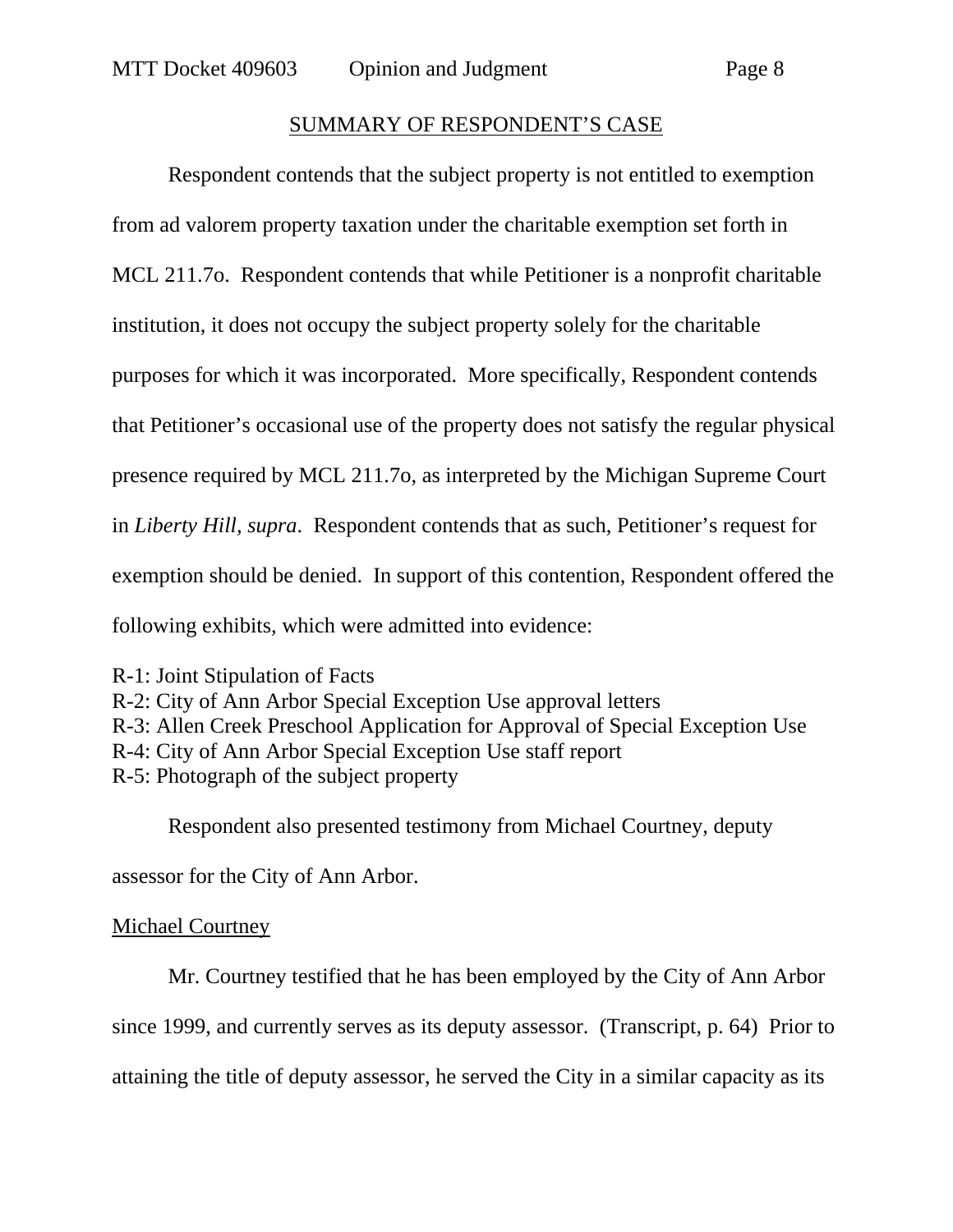#### SUMMARY OF RESPONDENT'S CASE

Respondent contends that the subject property is not entitled to exemption from ad valorem property taxation under the charitable exemption set forth in MCL 211.7o. Respondent contends that while Petitioner is a nonprofit charitable institution, it does not occupy the subject property solely for the charitable purposes for which it was incorporated. More specifically, Respondent contends that Petitioner's occasional use of the property does not satisfy the regular physical presence required by MCL 211.7o, as interpreted by the Michigan Supreme Court in *Liberty Hill, supra*. Respondent contends that as such, Petitioner's request for exemption should be denied. In support of this contention, Respondent offered the following exhibits, which were admitted into evidence:

R-1: Joint Stipulation of Facts

R-2: City of Ann Arbor Special Exception Use approval letters R-3: Allen Creek Preschool Application for Approval of Special Exception Use R-4: City of Ann Arbor Special Exception Use staff report R-5: Photograph of the subject property

Respondent also presented testimony from Michael Courtney, deputy

assessor for the City of Ann Arbor.

#### Michael Courtney

Mr. Courtney testified that he has been employed by the City of Ann Arbor since 1999, and currently serves as its deputy assessor. (Transcript, p. 64) Prior to attaining the title of deputy assessor, he served the City in a similar capacity as its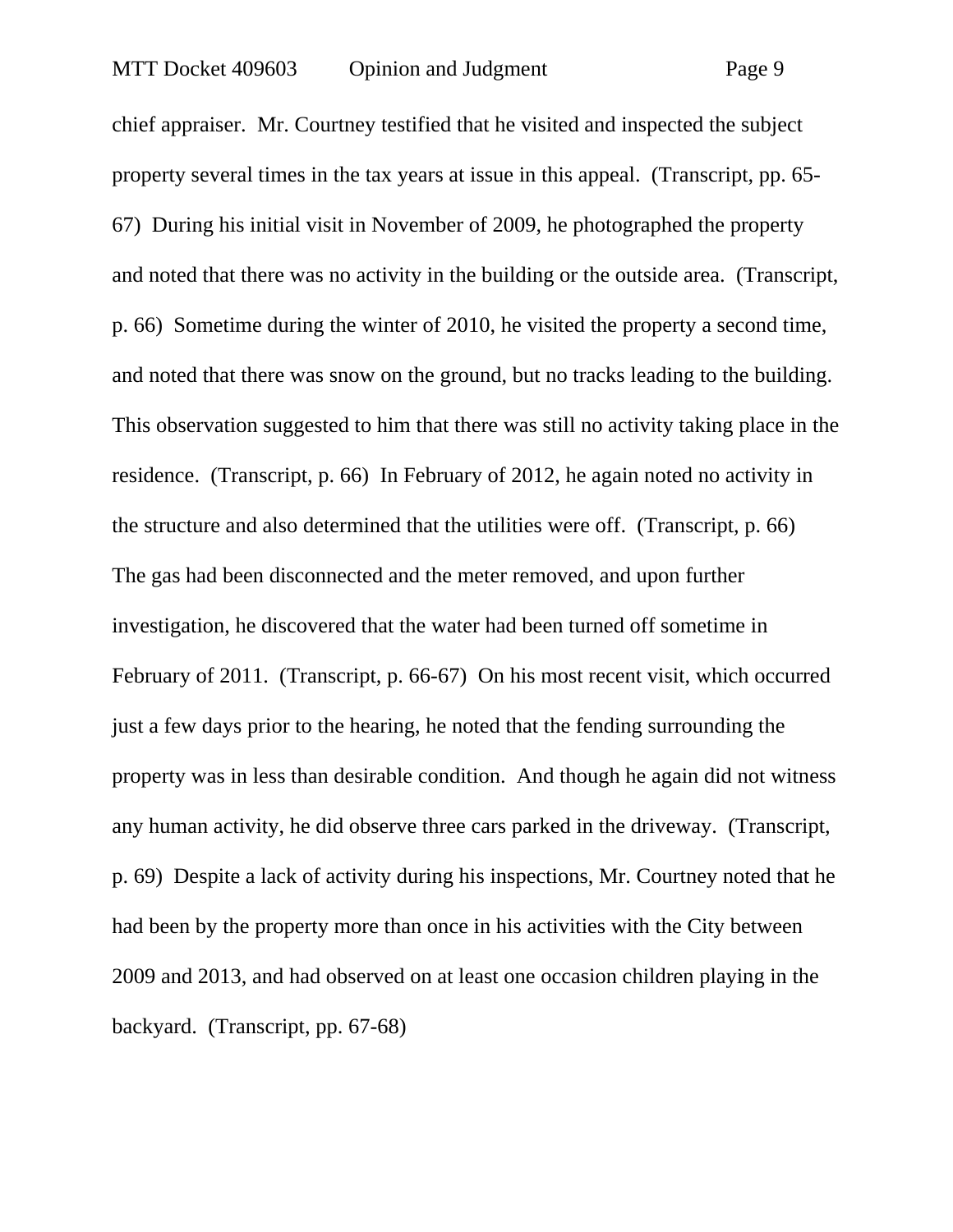chief appraiser. Mr. Courtney testified that he visited and inspected the subject property several times in the tax years at issue in this appeal. (Transcript, pp. 65- 67) During his initial visit in November of 2009, he photographed the property and noted that there was no activity in the building or the outside area. (Transcript, p. 66) Sometime during the winter of 2010, he visited the property a second time, and noted that there was snow on the ground, but no tracks leading to the building. This observation suggested to him that there was still no activity taking place in the residence. (Transcript, p. 66) In February of 2012, he again noted no activity in the structure and also determined that the utilities were off. (Transcript, p. 66) The gas had been disconnected and the meter removed, and upon further investigation, he discovered that the water had been turned off sometime in February of 2011. (Transcript, p. 66-67) On his most recent visit, which occurred just a few days prior to the hearing, he noted that the fending surrounding the property was in less than desirable condition. And though he again did not witness any human activity, he did observe three cars parked in the driveway. (Transcript, p. 69) Despite a lack of activity during his inspections, Mr. Courtney noted that he had been by the property more than once in his activities with the City between 2009 and 2013, and had observed on at least one occasion children playing in the backyard. (Transcript, pp. 67-68)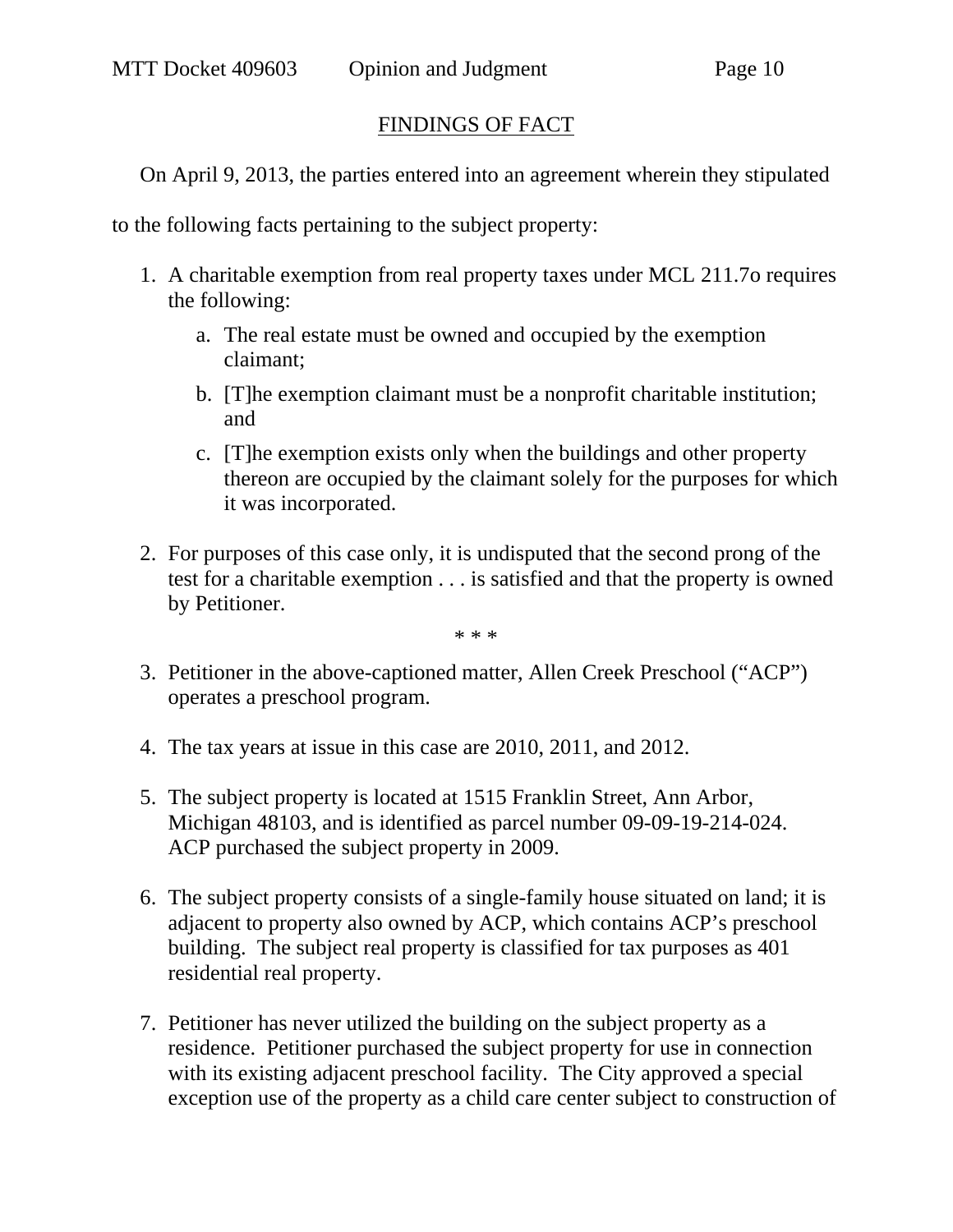## FINDINGS OF FACT

On April 9, 2013, the parties entered into an agreement wherein they stipulated

to the following facts pertaining to the subject property:

- 1. A charitable exemption from real property taxes under MCL 211.7o requires the following:
	- a. The real estate must be owned and occupied by the exemption claimant;
	- b. [T]he exemption claimant must be a nonprofit charitable institution; and
	- c. [T]he exemption exists only when the buildings and other property thereon are occupied by the claimant solely for the purposes for which it was incorporated.
- 2. For purposes of this case only, it is undisputed that the second prong of the test for a charitable exemption . . . is satisfied and that the property is owned by Petitioner.

\* \* \*

- 3. Petitioner in the above-captioned matter, Allen Creek Preschool ("ACP") operates a preschool program.
- 4. The tax years at issue in this case are 2010, 2011, and 2012.
- 5. The subject property is located at 1515 Franklin Street, Ann Arbor, Michigan 48103, and is identified as parcel number 09-09-19-214-024. ACP purchased the subject property in 2009.
- 6. The subject property consists of a single-family house situated on land; it is adjacent to property also owned by ACP, which contains ACP's preschool building. The subject real property is classified for tax purposes as 401 residential real property.
- 7. Petitioner has never utilized the building on the subject property as a residence. Petitioner purchased the subject property for use in connection with its existing adjacent preschool facility. The City approved a special exception use of the property as a child care center subject to construction of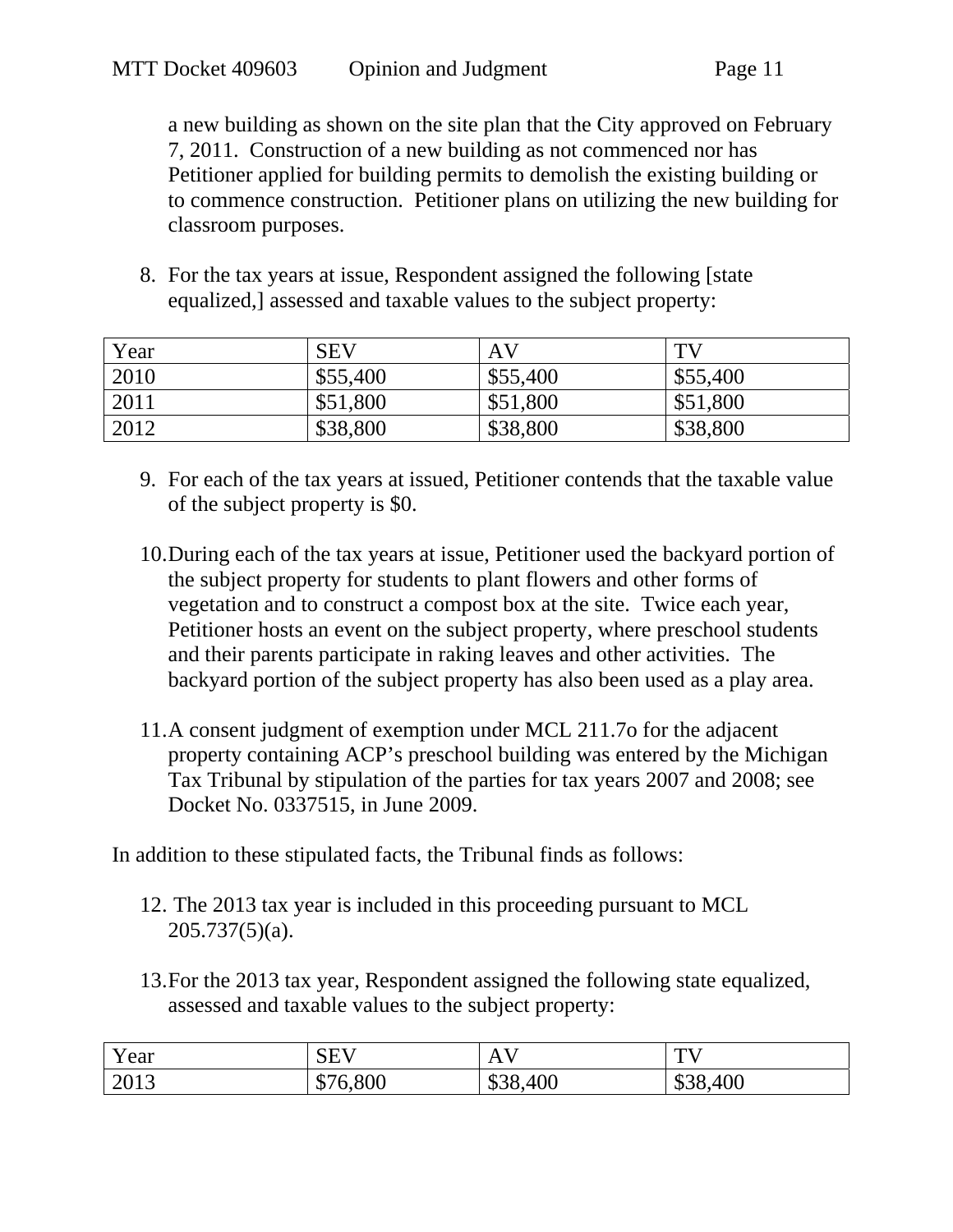a new building as shown on the site plan that the City approved on February 7, 2011. Construction of a new building as not commenced nor has Petitioner applied for building permits to demolish the existing building or to commence construction. Petitioner plans on utilizing the new building for classroom purposes.

8. For the tax years at issue, Respondent assigned the following [state equalized,] assessed and taxable values to the subject property:

| Year | SEV      | AV       | TV       |
|------|----------|----------|----------|
| 2010 | \$55,400 | \$55,400 | \$55,400 |
| 2011 | \$51,800 | \$51,800 | \$51,800 |
| 2012 | \$38,800 | \$38,800 | \$38,800 |

- 9. For each of the tax years at issued, Petitioner contends that the taxable value of the subject property is \$0.
- 10.During each of the tax years at issue, Petitioner used the backyard portion of the subject property for students to plant flowers and other forms of vegetation and to construct a compost box at the site. Twice each year, Petitioner hosts an event on the subject property, where preschool students and their parents participate in raking leaves and other activities. The backyard portion of the subject property has also been used as a play area.
- 11.A consent judgment of exemption under MCL 211.7o for the adjacent property containing ACP's preschool building was entered by the Michigan Tax Tribunal by stipulation of the parties for tax years 2007 and 2008; see Docket No. 0337515, in June 2009.

In addition to these stipulated facts, the Tribunal finds as follows:

- 12. The 2013 tax year is included in this proceeding pursuant to MCL  $205.737(5)(a)$ .
- 13.For the 2013 tax year, Respondent assigned the following state equalized, assessed and taxable values to the subject property:

| Year | $\alpha$ the $\tau$<br>wн<br>ືື | $\overline{\phantom{a}}$              | $\pi$<br><b>.</b> |
|------|---------------------------------|---------------------------------------|-------------------|
| 2013 | 6,800<br>JJ /                   | ,400<br>$\mathfrak{D}$ $\mathfrak{O}$ | \$38,400          |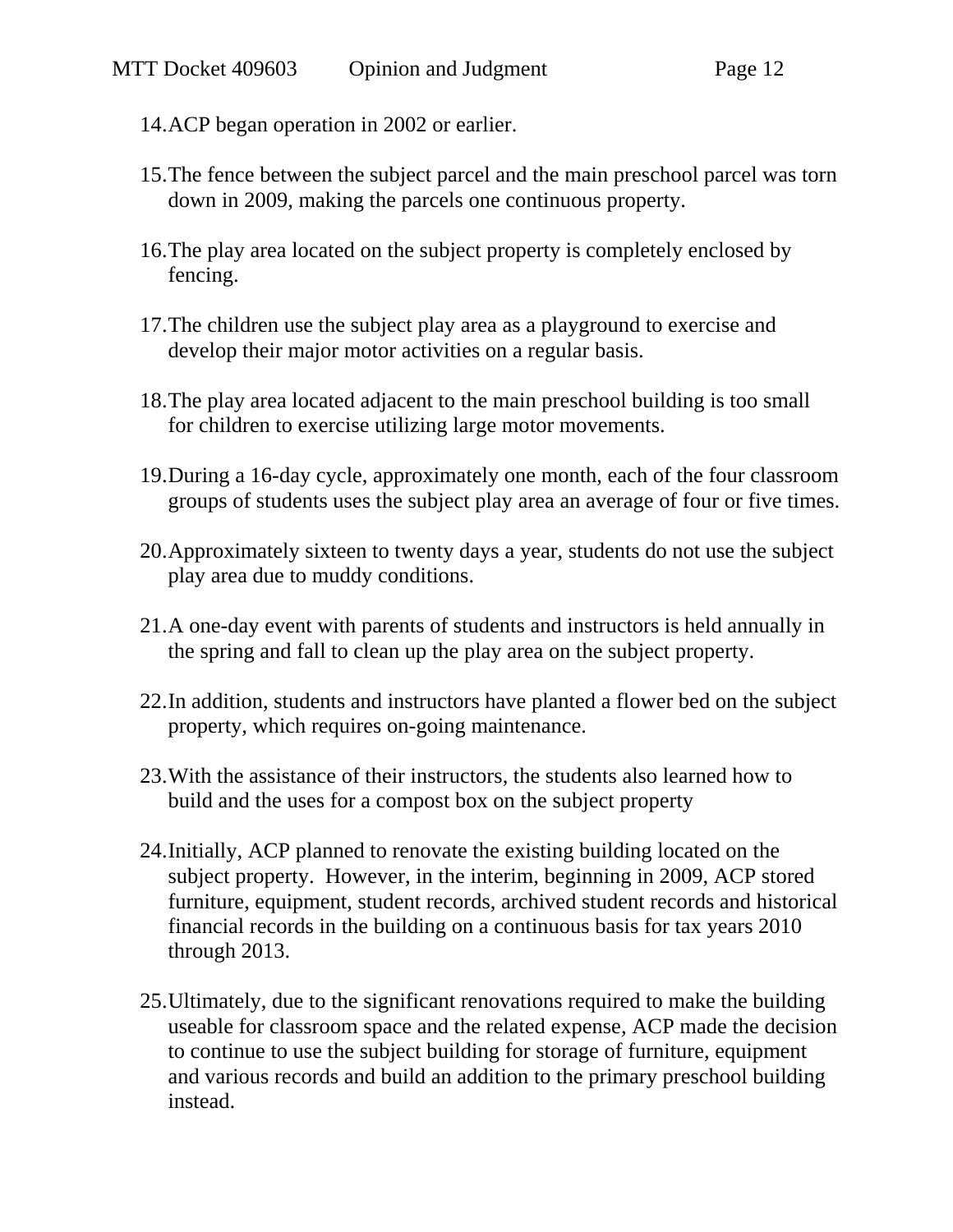- 14.ACP began operation in 2002 or earlier.
- 15.The fence between the subject parcel and the main preschool parcel was torn down in 2009, making the parcels one continuous property.
- 16.The play area located on the subject property is completely enclosed by fencing.
- 17.The children use the subject play area as a playground to exercise and develop their major motor activities on a regular basis.
- 18.The play area located adjacent to the main preschool building is too small for children to exercise utilizing large motor movements.
- 19.During a 16-day cycle, approximately one month, each of the four classroom groups of students uses the subject play area an average of four or five times.
- 20.Approximately sixteen to twenty days a year, students do not use the subject play area due to muddy conditions.
- 21.A one-day event with parents of students and instructors is held annually in the spring and fall to clean up the play area on the subject property.
- 22.In addition, students and instructors have planted a flower bed on the subject property, which requires on-going maintenance.
- 23.With the assistance of their instructors, the students also learned how to build and the uses for a compost box on the subject property
- 24.Initially, ACP planned to renovate the existing building located on the subject property. However, in the interim, beginning in 2009, ACP stored furniture, equipment, student records, archived student records and historical financial records in the building on a continuous basis for tax years 2010 through 2013.
- 25.Ultimately, due to the significant renovations required to make the building useable for classroom space and the related expense, ACP made the decision to continue to use the subject building for storage of furniture, equipment and various records and build an addition to the primary preschool building instead.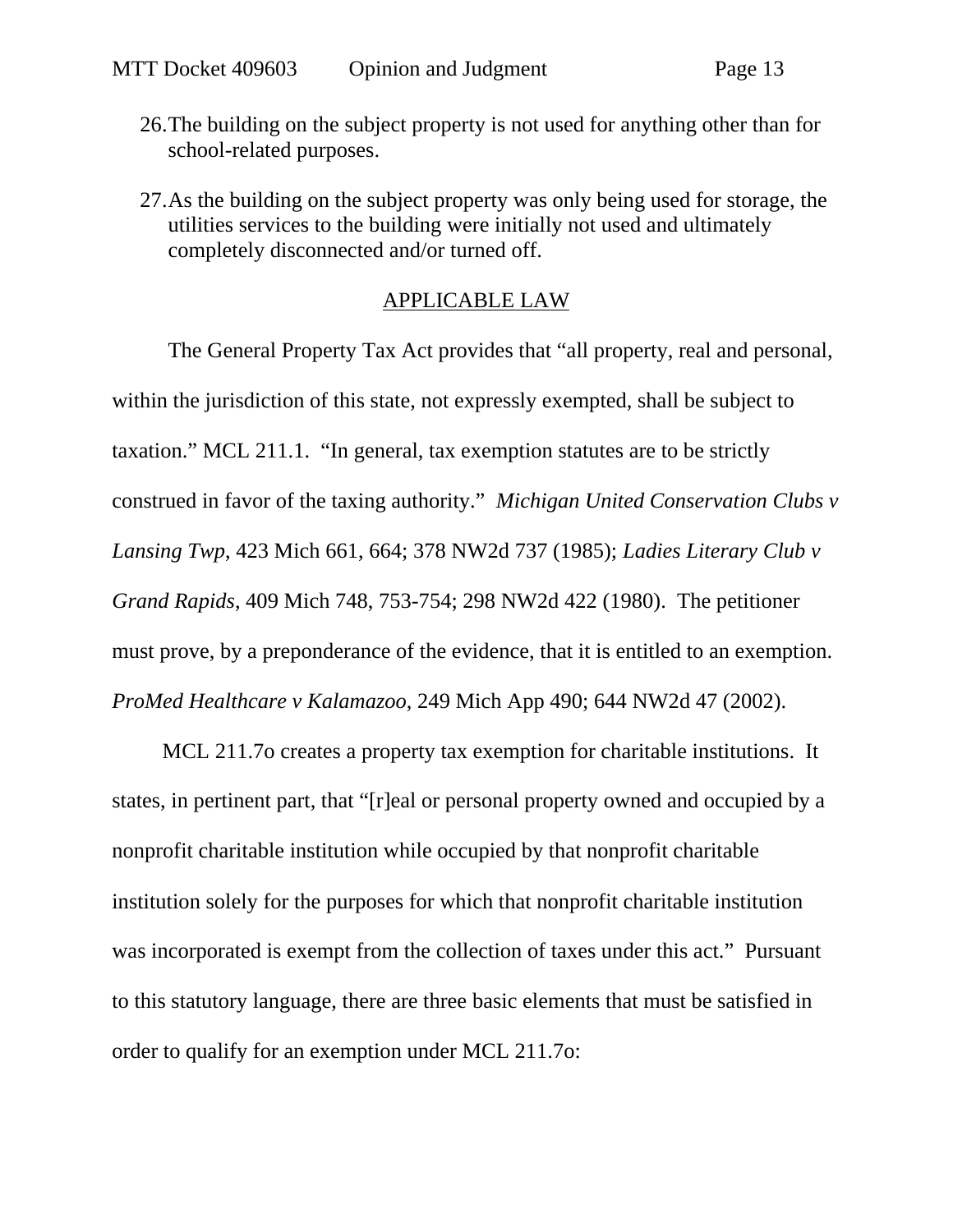- 26.The building on the subject property is not used for anything other than for school-related purposes.
- 27.As the building on the subject property was only being used for storage, the utilities services to the building were initially not used and ultimately completely disconnected and/or turned off.

#### APPLICABLE LAW

The General Property Tax Act provides that "all property, real and personal, within the jurisdiction of this state, not expressly exempted, shall be subject to taxation." MCL 211.1. "In general, tax exemption statutes are to be strictly construed in favor of the taxing authority." *Michigan United Conservation Clubs v Lansing Twp*, 423 Mich 661, 664; 378 NW2d 737 (1985); *Ladies Literary Club v Grand Rapids*, 409 Mich 748, 753-754; 298 NW2d 422 (1980). The petitioner must prove, by a preponderance of the evidence, that it is entitled to an exemption. *ProMed Healthcare v Kalamazoo*, 249 Mich App 490; 644 NW2d 47 (2002).

MCL 211.7o creates a property tax exemption for charitable institutions. It states, in pertinent part, that "[r]eal or personal property owned and occupied by a nonprofit charitable institution while occupied by that nonprofit charitable institution solely for the purposes for which that nonprofit charitable institution was incorporated is exempt from the collection of taxes under this act." Pursuant to this statutory language, there are three basic elements that must be satisfied in order to qualify for an exemption under MCL 211.7o: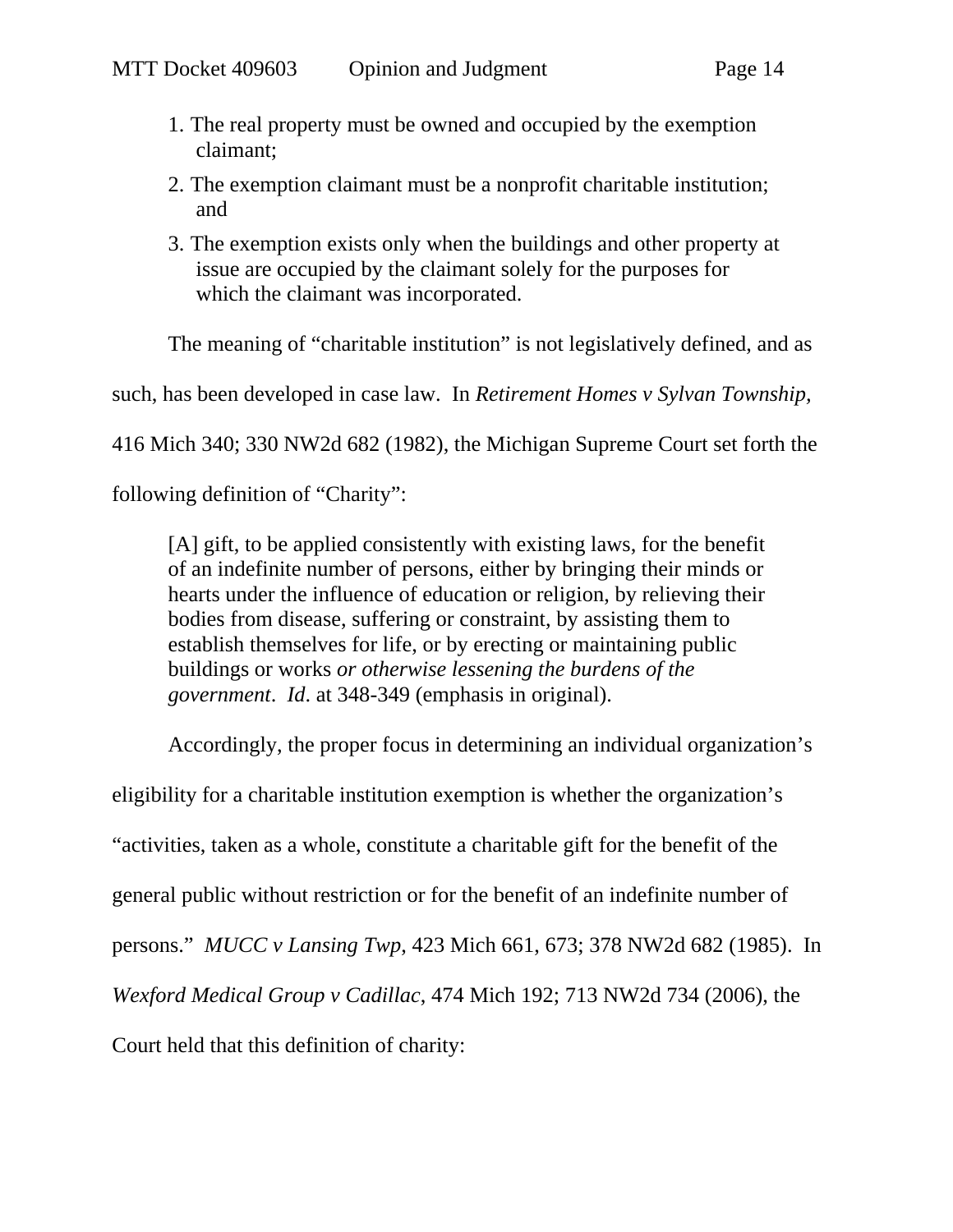- 1. The real property must be owned and occupied by the exemption claimant;
- 2. The exemption claimant must be a nonprofit charitable institution; and
- 3. The exemption exists only when the buildings and other property at issue are occupied by the claimant solely for the purposes for which the claimant was incorporated.

The meaning of "charitable institution" is not legislatively defined, and as

such, has been developed in case law. In *Retirement Homes v Sylvan Township,* 

416 Mich 340; 330 NW2d 682 (1982), the Michigan Supreme Court set forth the

following definition of "Charity":

[A] gift, to be applied consistently with existing laws, for the benefit of an indefinite number of persons, either by bringing their minds or hearts under the influence of education or religion, by relieving their bodies from disease, suffering or constraint, by assisting them to establish themselves for life, or by erecting or maintaining public buildings or works *or otherwise lessening the burdens of the government*. *Id*. at 348-349 (emphasis in original).

Accordingly, the proper focus in determining an individual organization's

eligibility for a charitable institution exemption is whether the organization's

"activities, taken as a whole, constitute a charitable gift for the benefit of the

general public without restriction or for the benefit of an indefinite number of

persons." *MUCC v Lansing Twp*, 423 Mich 661, 673; 378 NW2d 682 (1985). In

*Wexford Medical Group v Cadillac*, 474 Mich 192; 713 NW2d 734 (2006), the

Court held that this definition of charity: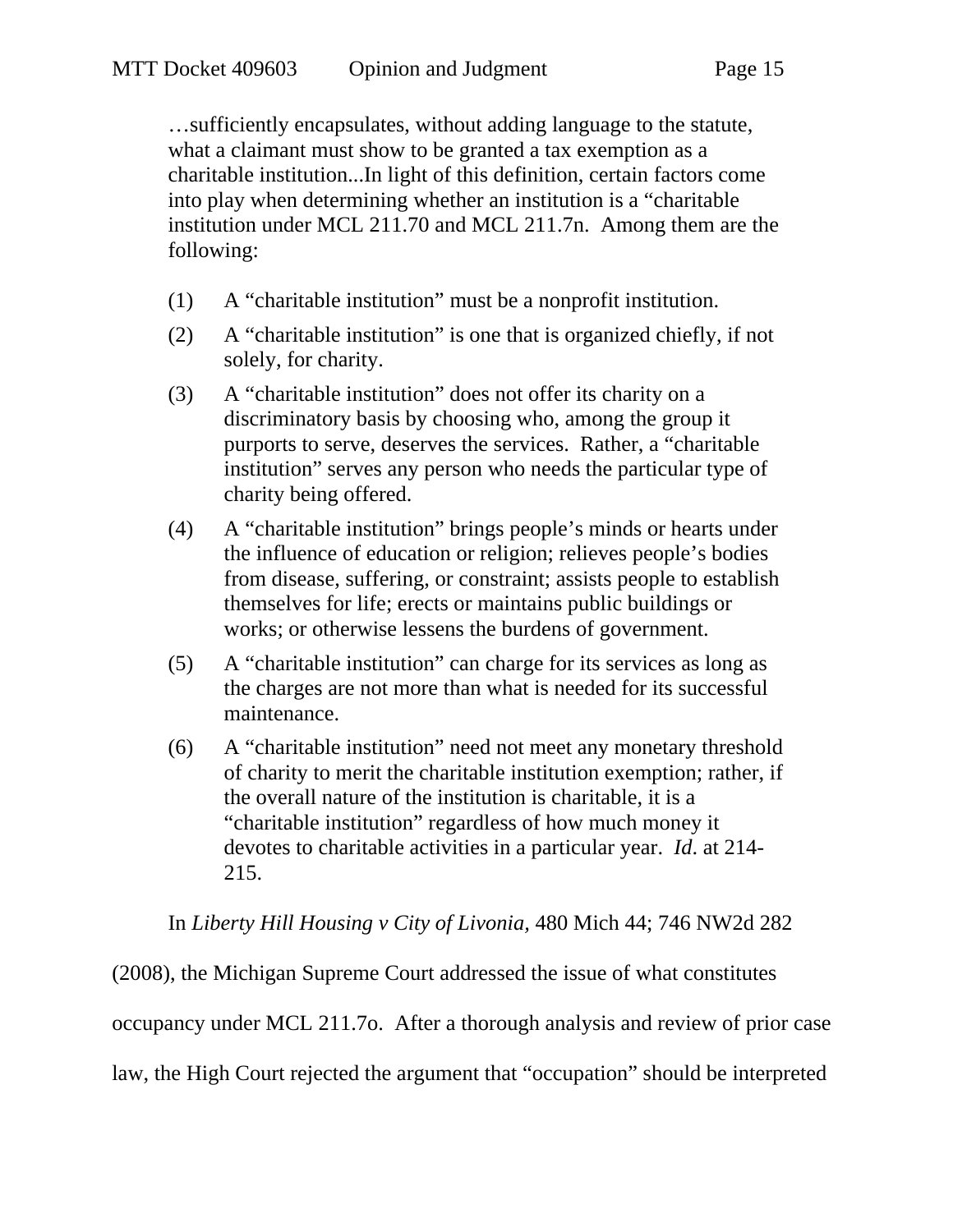…sufficiently encapsulates, without adding language to the statute, what a claimant must show to be granted a tax exemption as a charitable institution...In light of this definition, certain factors come into play when determining whether an institution is a "charitable institution under MCL 211.70 and MCL 211.7n. Among them are the following:

- (1) A "charitable institution" must be a nonprofit institution.
- (2) A "charitable institution" is one that is organized chiefly, if not solely, for charity.
- (3) A "charitable institution" does not offer its charity on a discriminatory basis by choosing who, among the group it purports to serve, deserves the services. Rather, a "charitable institution" serves any person who needs the particular type of charity being offered.
- (4) A "charitable institution" brings people's minds or hearts under the influence of education or religion; relieves people's bodies from disease, suffering, or constraint; assists people to establish themselves for life; erects or maintains public buildings or works; or otherwise lessens the burdens of government.
- (5) A "charitable institution" can charge for its services as long as the charges are not more than what is needed for its successful maintenance.
- (6) A "charitable institution" need not meet any monetary threshold of charity to merit the charitable institution exemption; rather, if the overall nature of the institution is charitable, it is a "charitable institution" regardless of how much money it devotes to charitable activities in a particular year. *Id*. at 214- 215.

In *Liberty Hill Housing v City of Livonia,* 480 Mich 44; 746 NW2d 282

(2008), the Michigan Supreme Court addressed the issue of what constitutes occupancy under MCL 211.7o. After a thorough analysis and review of prior case law, the High Court rejected the argument that "occupation" should be interpreted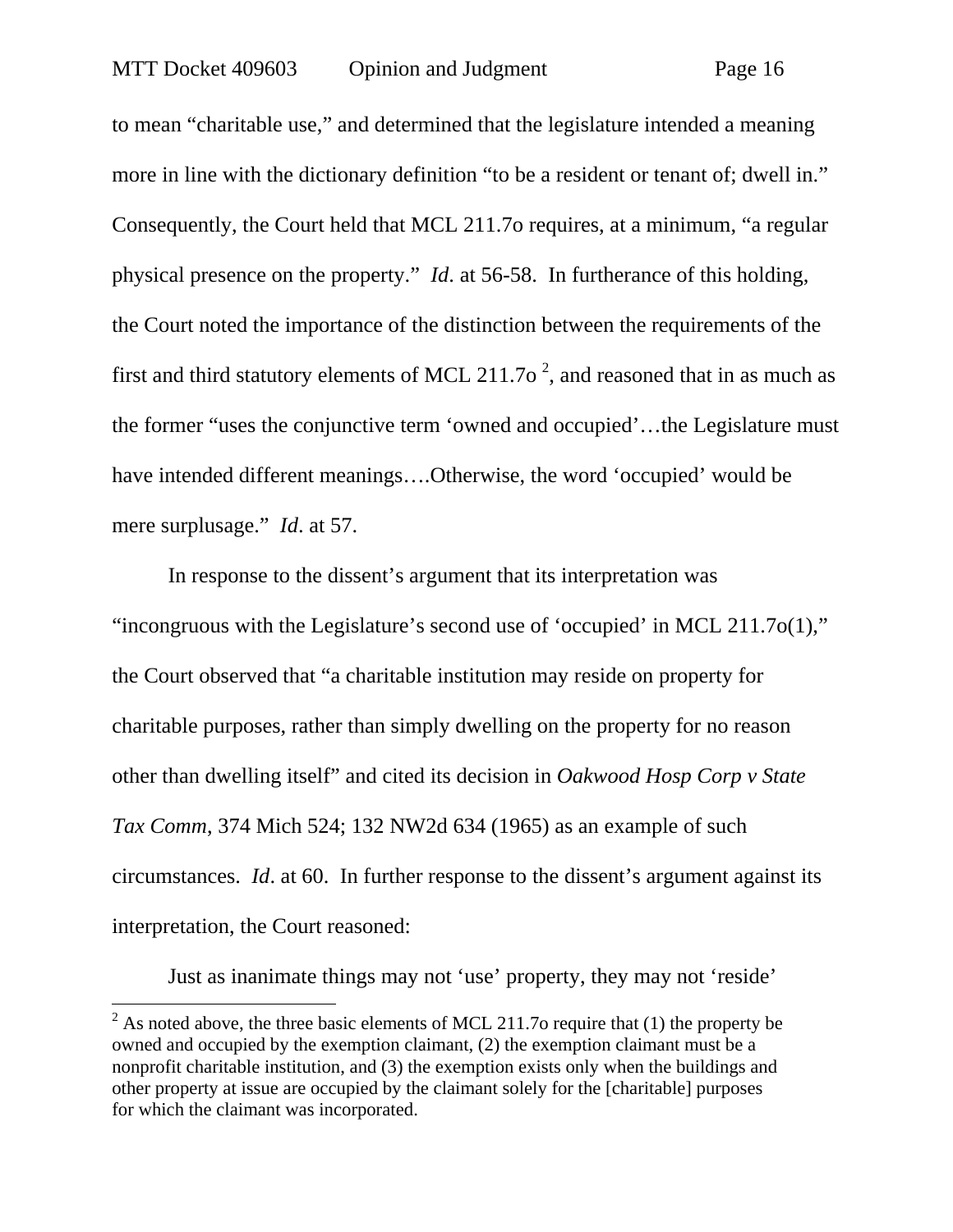to mean "charitable use," and determined that the legislature intended a meaning more in line with the dictionary definition "to be a resident or tenant of; dwell in." Consequently, the Court held that MCL 211.7o requires, at a minimum, "a regular physical presence on the property." *Id*. at 56-58. In furtherance of this holding, the Court noted the importance of the distinction between the requirements of the first and third statutory elements of MCL 211.7o<sup>2</sup>, and reasoned that in as much as the former "uses the conjunctive term 'owned and occupied'…the Legislature must have intended different meanings….Otherwise, the word 'occupied' would be mere surplusage." *Id*. at 57.

In response to the dissent's argument that its interpretation was "incongruous with the Legislature's second use of 'occupied' in MCL 211.7o(1)," the Court observed that "a charitable institution may reside on property for charitable purposes, rather than simply dwelling on the property for no reason other than dwelling itself" and cited its decision in *Oakwood Hosp Corp v State Tax Comm*, 374 Mich 524; 132 NW2d 634 (1965) as an example of such circumstances. *Id*. at 60. In further response to the dissent's argument against its interpretation, the Court reasoned:

Just as inanimate things may not 'use' property, they may not 'reside'

<sup>&</sup>lt;sup>2</sup> As noted above, the three basic elements of MCL 211.7o require that (1) the property be owned and occupied by the exemption claimant, (2) the exemption claimant must be a nonprofit charitable institution, and (3) the exemption exists only when the buildings and other property at issue are occupied by the claimant solely for the [charitable] purposes for which the claimant was incorporated.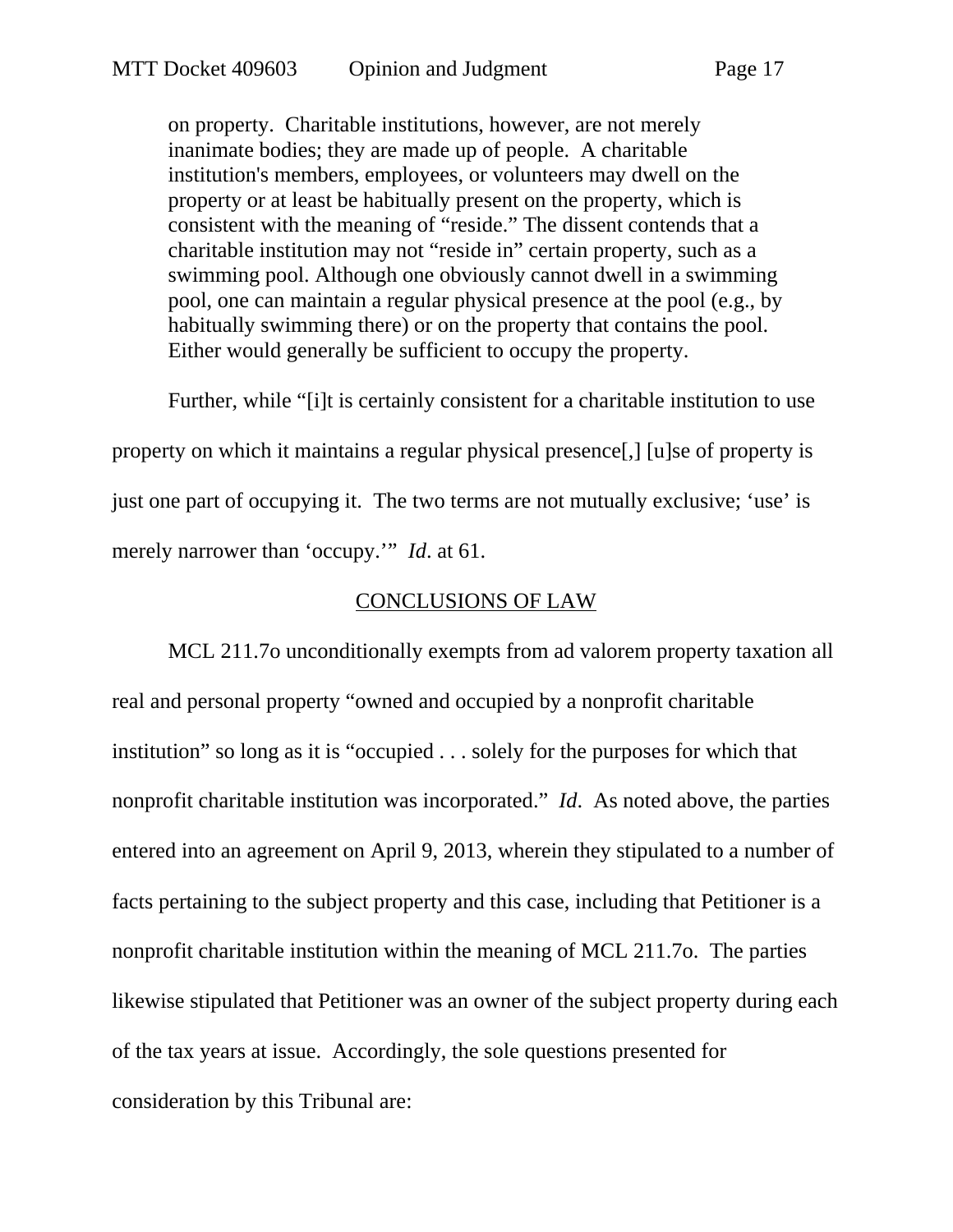on property. Charitable institutions, however, are not merely inanimate bodies; they are made up of people. A charitable institution's members, employees, or volunteers may dwell on the property or at least be habitually present on the property, which is consistent with the meaning of "reside." The dissent contends that a charitable institution may not "reside in" certain property, such as a swimming pool. Although one obviously cannot dwell in a swimming pool, one can maintain a regular physical presence at the pool (e.g., by habitually swimming there) or on the property that contains the pool. Either would generally be sufficient to occupy the property.

Further, while "[i]t is certainly consistent for a charitable institution to use property on which it maintains a regular physical presence[,] [u]se of property is just one part of occupying it. The two terms are not mutually exclusive; 'use' is merely narrower than 'occupy.'" *Id*. at 61.

#### CONCLUSIONS OF LAW

MCL 211.7o unconditionally exempts from ad valorem property taxation all real and personal property "owned and occupied by a nonprofit charitable institution" so long as it is "occupied . . . solely for the purposes for which that nonprofit charitable institution was incorporated." *Id*. As noted above, the parties entered into an agreement on April 9, 2013, wherein they stipulated to a number of facts pertaining to the subject property and this case, including that Petitioner is a nonprofit charitable institution within the meaning of MCL 211.7o. The parties likewise stipulated that Petitioner was an owner of the subject property during each of the tax years at issue. Accordingly, the sole questions presented for consideration by this Tribunal are: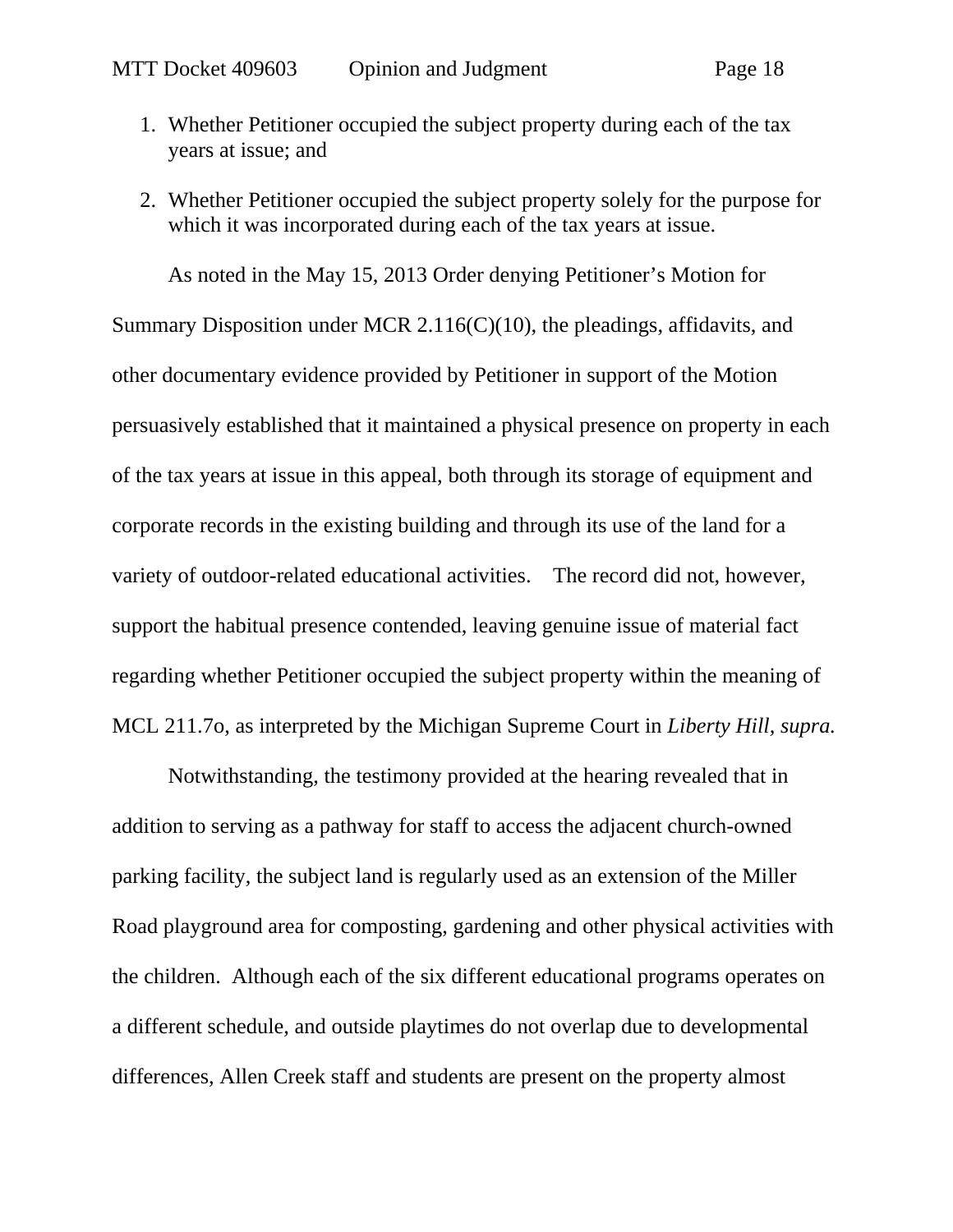- 1. Whether Petitioner occupied the subject property during each of the tax years at issue; and
- 2. Whether Petitioner occupied the subject property solely for the purpose for which it was incorporated during each of the tax years at issue.

As noted in the May 15, 2013 Order denying Petitioner's Motion for Summary Disposition under MCR 2.116(C)(10), the pleadings, affidavits, and other documentary evidence provided by Petitioner in support of the Motion persuasively established that it maintained a physical presence on property in each of the tax years at issue in this appeal, both through its storage of equipment and corporate records in the existing building and through its use of the land for a variety of outdoor-related educational activities. The record did not, however, support the habitual presence contended, leaving genuine issue of material fact regarding whether Petitioner occupied the subject property within the meaning of MCL 211.7o, as interpreted by the Michigan Supreme Court in *Liberty Hill, supra.* 

Notwithstanding, the testimony provided at the hearing revealed that in addition to serving as a pathway for staff to access the adjacent church-owned parking facility, the subject land is regularly used as an extension of the Miller Road playground area for composting, gardening and other physical activities with the children. Although each of the six different educational programs operates on a different schedule, and outside playtimes do not overlap due to developmental differences, Allen Creek staff and students are present on the property almost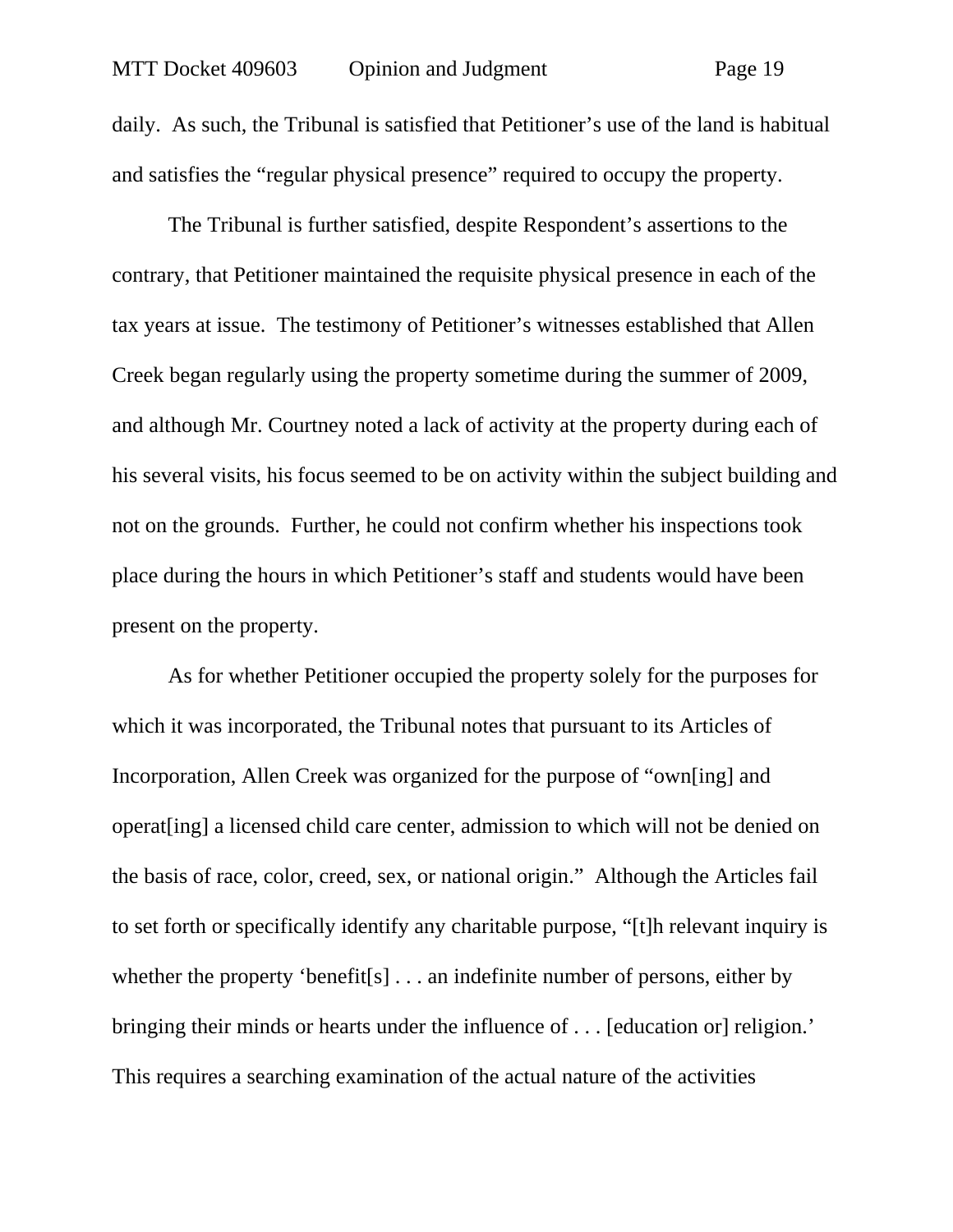daily. As such, the Tribunal is satisfied that Petitioner's use of the land is habitual and satisfies the "regular physical presence" required to occupy the property.

The Tribunal is further satisfied, despite Respondent's assertions to the contrary, that Petitioner maintained the requisite physical presence in each of the tax years at issue. The testimony of Petitioner's witnesses established that Allen Creek began regularly using the property sometime during the summer of 2009, and although Mr. Courtney noted a lack of activity at the property during each of his several visits, his focus seemed to be on activity within the subject building and not on the grounds. Further, he could not confirm whether his inspections took place during the hours in which Petitioner's staff and students would have been present on the property.

As for whether Petitioner occupied the property solely for the purposes for which it was incorporated, the Tribunal notes that pursuant to its Articles of Incorporation, Allen Creek was organized for the purpose of "own[ing] and operat[ing] a licensed child care center, admission to which will not be denied on the basis of race, color, creed, sex, or national origin." Although the Articles fail to set forth or specifically identify any charitable purpose, "[t]h relevant inquiry is whether the property 'benefit<sup>[s]</sup> . . . an indefinite number of persons, either by bringing their minds or hearts under the influence of . . . [education or] religion.' This requires a searching examination of the actual nature of the activities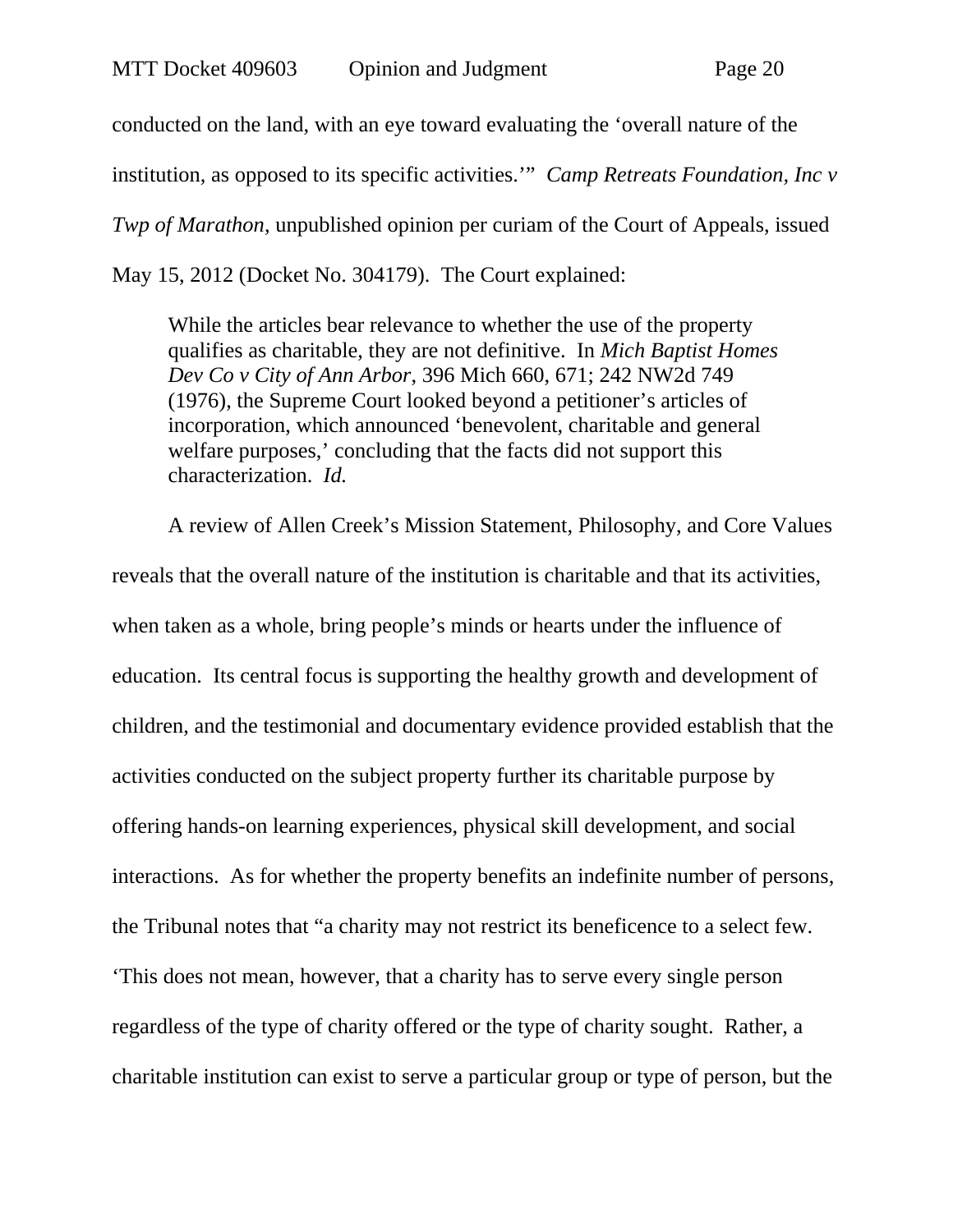conducted on the land, with an eye toward evaluating the 'overall nature of the institution, as opposed to its specific activities.'" *Camp Retreats Foundation, Inc v Twp of Marathon*, unpublished opinion per curiam of the Court of Appeals, issued May 15, 2012 (Docket No. 304179). The Court explained:

While the articles bear relevance to whether the use of the property qualifies as charitable, they are not definitive. In *Mich Baptist Homes Dev Co v City of Ann Arbor*, 396 Mich 660, 671; 242 NW2d 749 (1976), the Supreme Court looked beyond a petitioner's articles of incorporation, which announced 'benevolent, charitable and general welfare purposes,' concluding that the facts did not support this characterization. *Id.*

A review of Allen Creek's Mission Statement, Philosophy, and Core Values reveals that the overall nature of the institution is charitable and that its activities, when taken as a whole, bring people's minds or hearts under the influence of education. Its central focus is supporting the healthy growth and development of children, and the testimonial and documentary evidence provided establish that the activities conducted on the subject property further its charitable purpose by offering hands-on learning experiences, physical skill development, and social interactions. As for whether the property benefits an indefinite number of persons, the Tribunal notes that "a charity may not restrict its beneficence to a select few. 'This does not mean, however, that a charity has to serve every single person regardless of the type of charity offered or the type of charity sought. Rather, a charitable institution can exist to serve a particular group or type of person, but the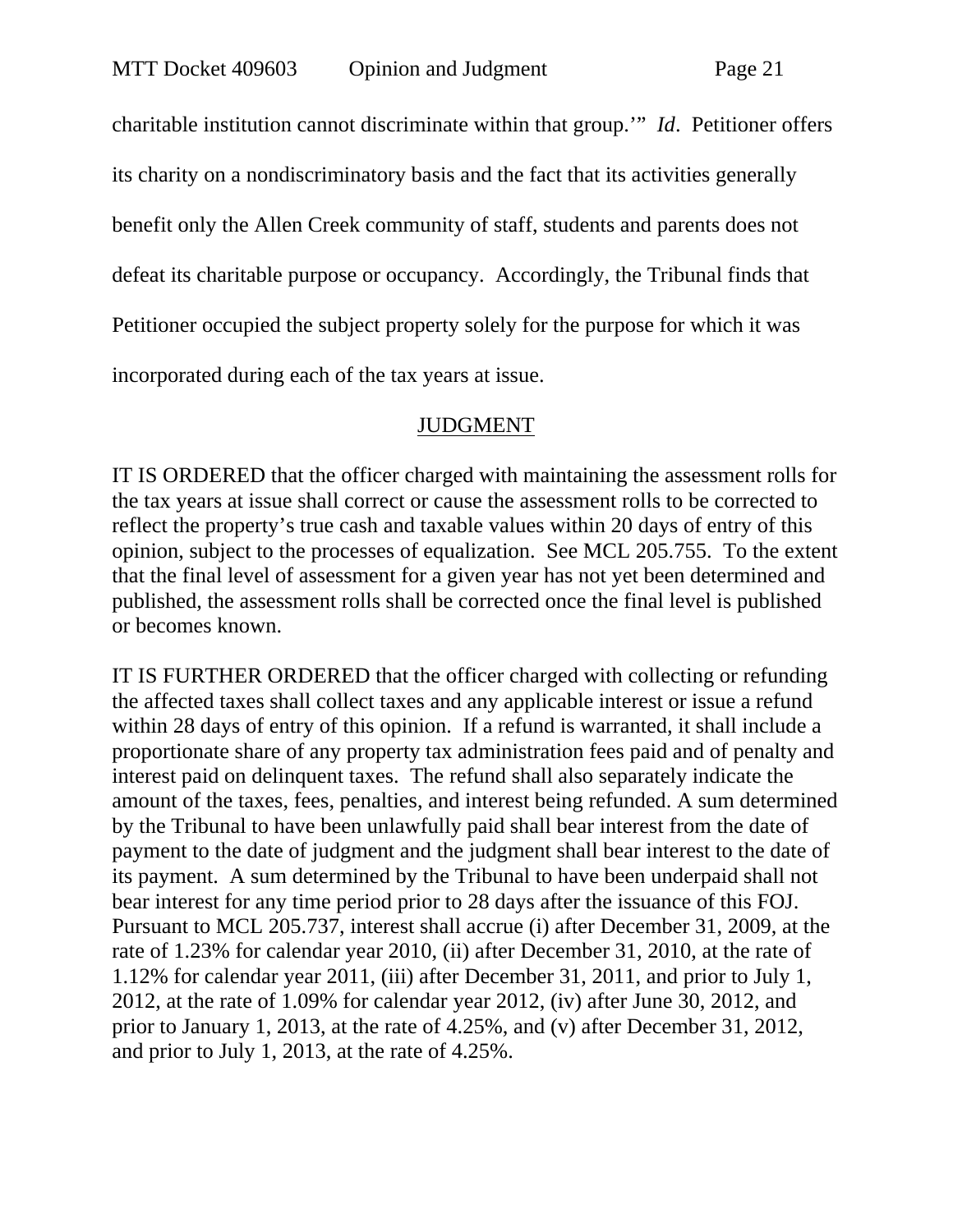charitable institution cannot discriminate within that group.'" *Id*. Petitioner offers its charity on a nondiscriminatory basis and the fact that its activities generally benefit only the Allen Creek community of staff, students and parents does not defeat its charitable purpose or occupancy. Accordingly, the Tribunal finds that Petitioner occupied the subject property solely for the purpose for which it was incorporated during each of the tax years at issue.

#### JUDGMENT

IT IS ORDERED that the officer charged with maintaining the assessment rolls for the tax years at issue shall correct or cause the assessment rolls to be corrected to reflect the property's true cash and taxable values within 20 days of entry of this opinion, subject to the processes of equalization. See MCL 205.755. To the extent that the final level of assessment for a given year has not yet been determined and published, the assessment rolls shall be corrected once the final level is published or becomes known.

IT IS FURTHER ORDERED that the officer charged with collecting or refunding the affected taxes shall collect taxes and any applicable interest or issue a refund within 28 days of entry of this opinion. If a refund is warranted, it shall include a proportionate share of any property tax administration fees paid and of penalty and interest paid on delinquent taxes. The refund shall also separately indicate the amount of the taxes, fees, penalties, and interest being refunded. A sum determined by the Tribunal to have been unlawfully paid shall bear interest from the date of payment to the date of judgment and the judgment shall bear interest to the date of its payment. A sum determined by the Tribunal to have been underpaid shall not bear interest for any time period prior to 28 days after the issuance of this FOJ. Pursuant to MCL 205.737, interest shall accrue (i) after December 31, 2009, at the rate of 1.23% for calendar year 2010, (ii) after December 31, 2010, at the rate of 1.12% for calendar year 2011, (iii) after December 31, 2011, and prior to July 1, 2012, at the rate of 1.09% for calendar year 2012, (iv) after June 30, 2012, and prior to January 1, 2013, at the rate of 4.25%, and (v) after December 31, 2012, and prior to July 1, 2013, at the rate of 4.25%.